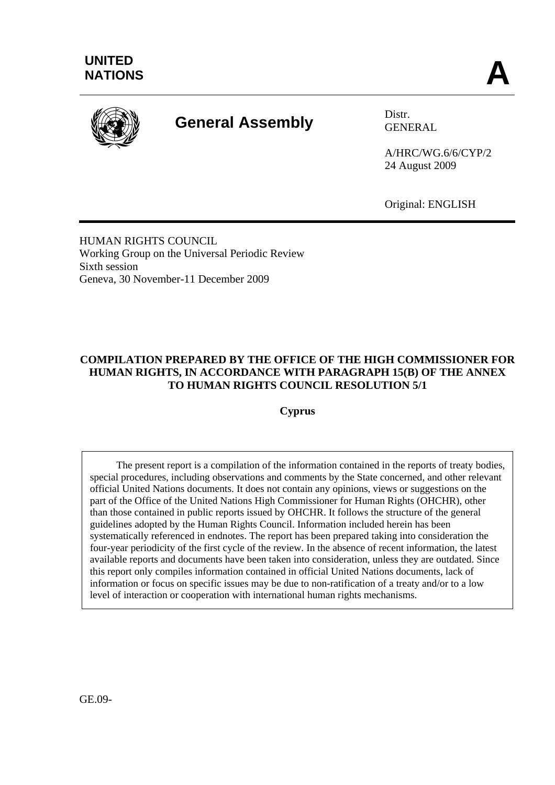

# **General Assembly** Distr.

GENERAL

A/HRC/WG.6/6/CYP/2 24 August 2009

Original: ENGLISH

HUMAN RIGHTS COUNCIL Working Group on the Universal Periodic Review Sixth session Geneva, 30 November-11 December 2009

# **COMPILATION PREPARED BY THE OFFICE OF THE HIGH COMMISSIONER FOR HUMAN RIGHTS, IN ACCORDANCE WITH PARAGRAPH 15(B) OF THE ANNEX TO HUMAN RIGHTS COUNCIL RESOLUTION 5/1**

**Cyprus** 

 The present report is a compilation of the information contained in the reports of treaty bodies, special procedures, including observations and comments by the State concerned, and other relevant official United Nations documents. It does not contain any opinions, views or suggestions on the part of the Office of the United Nations High Commissioner for Human Rights (OHCHR), other than those contained in public reports issued by OHCHR. It follows the structure of the general guidelines adopted by the Human Rights Council. Information included herein has been systematically referenced in endnotes. The report has been prepared taking into consideration the four-year periodicity of the first cycle of the review. In the absence of recent information, the latest available reports and documents have been taken into consideration, unless they are outdated. Since this report only compiles information contained in official United Nations documents, lack of information or focus on specific issues may be due to non-ratification of a treaty and/or to a low level of interaction or cooperation with international human rights mechanisms.

GE.09-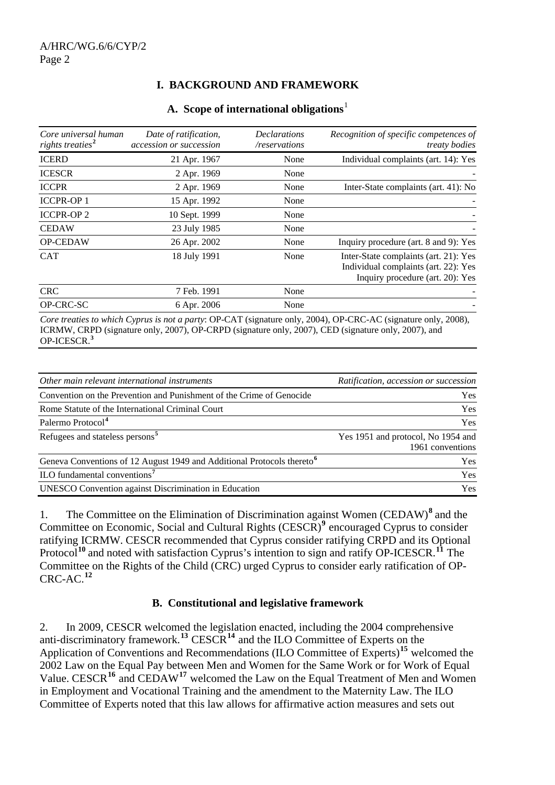# **I. BACKGROUND AND FRAMEWORK**

|  | A. Scope of international obligations |  |
|--|---------------------------------------|--|
|--|---------------------------------------|--|

| Core universal human<br>rights treaties <sup>2</sup> | Date of ratification,<br>accession or succession | <b>Declarations</b><br>/reservations | Recognition of specific competences of<br><i>treaty bodies</i>                                                    |
|------------------------------------------------------|--------------------------------------------------|--------------------------------------|-------------------------------------------------------------------------------------------------------------------|
| <b>ICERD</b>                                         | 21 Apr. 1967                                     | None                                 | Individual complaints (art. 14): Yes                                                                              |
| <b>ICESCR</b>                                        | 2 Apr. 1969                                      | None                                 |                                                                                                                   |
| <b>ICCPR</b>                                         | 2 Apr. 1969                                      | None                                 | Inter-State complaints (art. 41): No                                                                              |
| <b>ICCPR-OP1</b>                                     | 15 Apr. 1992                                     | None                                 |                                                                                                                   |
| <b>ICCPR-OP2</b>                                     | 10 Sept. 1999                                    | None                                 |                                                                                                                   |
| <b>CEDAW</b>                                         | 23 July 1985                                     | None                                 |                                                                                                                   |
| OP-CEDAW                                             | 26 Apr. 2002                                     | None                                 | Inquiry procedure (art. 8 and 9): Yes                                                                             |
| <b>CAT</b>                                           | 18 July 1991                                     | None                                 | Inter-State complaints (art. 21): Yes<br>Individual complaints (art. 22): Yes<br>Inquiry procedure (art. 20): Yes |
| <b>CRC</b>                                           | 7 Feb. 1991                                      | None                                 |                                                                                                                   |
| OP-CRC-SC                                            | 6 Apr. 2006                                      | None                                 |                                                                                                                   |
|                                                      |                                                  |                                      | Core treaties to which Cyprus is not a party: OP CAT (signature only 2004) OP CRC AC (signature only 2008)        |

*Core treaties to which Cyprus is not a party*: OP-CAT (signature only, 2004), OP-CRC-AC (signature only, 2008), ICRMW, CRPD (signature only, 2007), OP-CRPD (signature only, 2007), CED (signature only, 2007), and OP-ICESCR.**[3](#page-13-1)**

| Other main relevant international instruments                                      | Ratification, accession or succession                  |
|------------------------------------------------------------------------------------|--------------------------------------------------------|
| Convention on the Prevention and Punishment of the Crime of Genocide               | Yes                                                    |
| Rome Statute of the International Criminal Court                                   | Yes                                                    |
| Palermo Protocol <sup>4</sup>                                                      | <b>Yes</b>                                             |
| Refugees and stateless persons <sup>5</sup>                                        | Yes 1951 and protocol, No 1954 and<br>1961 conventions |
| Geneva Conventions of 12 August 1949 and Additional Protocols thereto <sup>6</sup> | <b>Yes</b>                                             |
| ILO fundamental conventions <sup>7</sup>                                           | Yes                                                    |
| <b>UNESCO</b> Convention against Discrimination in Education                       | Yes                                                    |

1. The Committee on the Elimination of Discrimination against Women (CEDAW)**[8](#page-14-0)** and the Committee on Economic, Social and Cultural Rights (CESCR)<sup>[9](#page-14-0)</sup> encouraged Cyprus to consider ratifying ICRMW. CESCR recommended that Cyprus consider ratifying CRPD and its Optional Protocol<sup>[10](#page-14-0)</sup> and noted with satisfaction Cyprus's intention to sign and ratify OP-ICESCR.<sup>[11](#page-14-0)</sup> The Committee on the Rights of the Child (CRC) urged Cyprus to consider early ratification of OP-CRC-AC.**[12](#page-14-0)**

#### **B. Constitutional and legislative framework**

2. In 2009, CESCR welcomed the legislation enacted, including the 2004 comprehensive anti-discriminatory framework.**[13](#page-14-0)** CESCR**[14](#page-14-0)** and the ILO Committee of Experts on the Application of Conventions and Recommendations (ILO Committee of Experts)**[15](#page-14-0)** welcomed the 2002 Law on the Equal Pay between Men and Women for the Same Work or for Work of Equal Value. CESCR**[16](#page-14-0)** and CEDAW**[17](#page-14-0)** welcomed the Law on the Equal Treatment of Men and Women in Employment and Vocational Training and the amendment to the Maternity Law. The ILO Committee of Experts noted that this law allows for affirmative action measures and sets out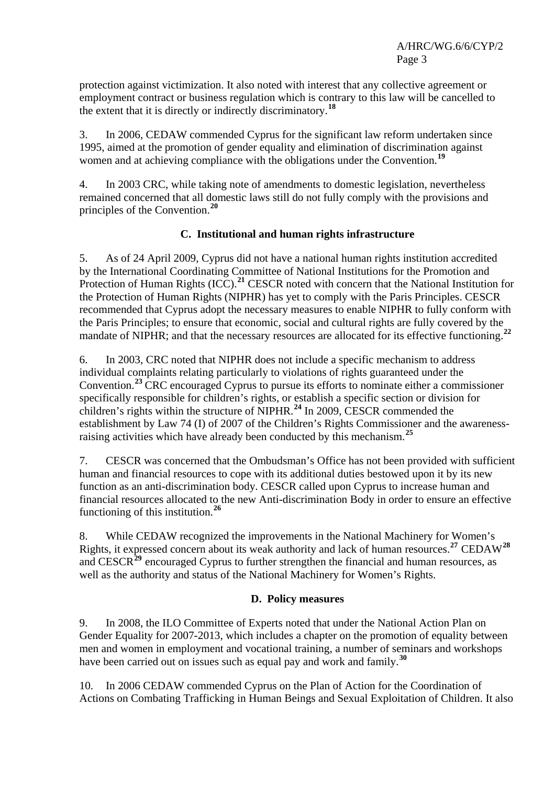protection against victimization. It also noted with interest that any collective agreement or employment contract or business regulation which is contrary to this law will be cancelled to the extent that it is directly or indirectly discriminatory.**[18](#page-14-0)**

3. In 2006, CEDAW commended Cyprus for the significant law reform undertaken since 1995, aimed at the promotion of gender equality and elimination of discrimination against women and at achieving compliance with the obligations under the Convention.**[19](#page-14-0)**

4. In 2003 CRC, while taking note of amendments to domestic legislation, nevertheless remained concerned that all domestic laws still do not fully comply with the provisions and principles of the Convention.**[20](#page-14-0)**

## **C. Institutional and human rights infrastructure**

5. As of 24 April 2009, Cyprus did not have a national human rights institution accredited by the International Coordinating Committee of National Institutions for the Promotion and Protection of Human Rights (ICC).**[21](#page-14-0)** CESCR noted with concern that the National Institution for the Protection of Human Rights (NIPHR) has yet to comply with the Paris Principles. CESCR recommended that Cyprus adopt the necessary measures to enable NIPHR to fully conform with the Paris Principles; to ensure that economic, social and cultural rights are fully covered by the mandate of NIPHR; and that the necessary resources are allocated for its effective functioning.**[22](#page-14-0)**

6. In 2003, CRC noted that NIPHR does not include a specific mechanism to address individual complaints relating particularly to violations of rights guaranteed under the Convention.**[23](#page-14-0)** CRC encouraged Cyprus to pursue its efforts to nominate either a commissioner specifically responsible for children's rights, or establish a specific section or division for children's rights within the structure of NIPHR.**[24](#page-14-0)** In 2009, CESCR commended the establishment by Law 74 (I) of 2007 of the Children's Rights Commissioner and the awarenessraising activities which have already been conducted by this mechanism.**[25](#page-14-0)**

7. CESCR was concerned that the Ombudsman's Office has not been provided with sufficient human and financial resources to cope with its additional duties bestowed upon it by its new function as an anti-discrimination body. CESCR called upon Cyprus to increase human and financial resources allocated to the new Anti-discrimination Body in order to ensure an effective functioning of this institution.**[26](#page-14-0)**

8. While CEDAW recognized the improvements in the National Machinery for Women's Rights, it expressed concern about its weak authority and lack of human resources.**[27](#page-14-0)** CEDAW**[28](#page-14-0)** and CESCR<sup>[29](#page-14-0)</sup> encouraged Cyprus to further strengthen the financial and human resources, as well as the authority and status of the National Machinery for Women's Rights.

#### **D. Policy measures**

9. In 2008, the ILO Committee of Experts noted that under the National Action Plan on Gender Equality for 2007-2013, which includes a chapter on the promotion of equality between men and women in employment and vocational training, a number of seminars and workshops have been carried out on issues such as equal pay and work and family.**[30](#page-14-0)**

10. In 2006 CEDAW commended Cyprus on the Plan of Action for the Coordination of Actions on Combating Trafficking in Human Beings and Sexual Exploitation of Children. It also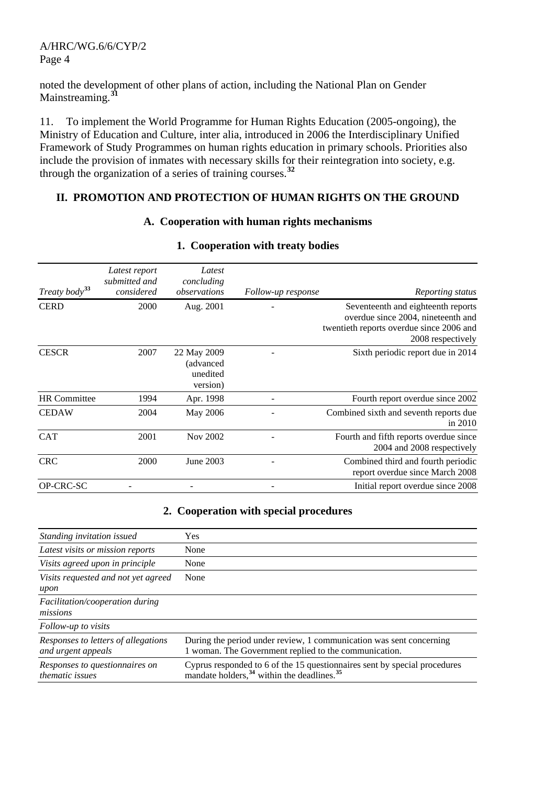noted the development of other plans of action, including the National Plan on Gender Mainstreaming.**[31](#page-14-0)**

11. To implement the World Programme for Human Rights Education (2005-ongoing), the Ministry of Education and Culture, inter alia, introduced in 2006 the Interdisciplinary Unified Framework of Study Programmes on human rights education in primary schools. Priorities also include the provision of inmates with necessary skills for their reintegration into society, e.g. through the organization of a series of training courses.**[32](#page-14-0)**

#### **II. PROMOTION AND PROTECTION OF HUMAN RIGHTS ON THE GROUND**

#### **A. Cooperation with human rights mechanisms**

| Treaty body <sup>33</sup> | Latest report<br>submitted and<br>considered | Latest<br>concluding<br>observations              | Follow-up response | Reporting status                                                                                                                          |
|---------------------------|----------------------------------------------|---------------------------------------------------|--------------------|-------------------------------------------------------------------------------------------------------------------------------------------|
| <b>CERD</b>               | 2000                                         | Aug. 2001                                         |                    | Seventeenth and eighteenth reports<br>overdue since 2004, nineteenth and<br>twentieth reports overdue since 2006 and<br>2008 respectively |
| <b>CESCR</b>              | 2007                                         | 22 May 2009<br>(advanced)<br>unedited<br>version) |                    | Sixth periodic report due in 2014                                                                                                         |
| <b>HR</b> Committee       | 1994                                         | Apr. 1998                                         |                    | Fourth report overdue since 2002                                                                                                          |
| <b>CEDAW</b>              | 2004                                         | May 2006                                          |                    | Combined sixth and seventh reports due<br>in $2010$                                                                                       |
| <b>CAT</b>                | 2001                                         | Nov 2002                                          |                    | Fourth and fifth reports overdue since<br>2004 and 2008 respectively                                                                      |
| <b>CRC</b>                | 2000                                         | June 2003                                         |                    | Combined third and fourth periodic<br>report overdue since March 2008                                                                     |
| OP-CRC-SC                 |                                              |                                                   |                    | Initial report overdue since 2008                                                                                                         |

#### **1. Cooperation with treaty bodies**

#### **2. Cooperation with special procedures**

| Standing invitation issued                                | <b>Yes</b>                                                                                                                                      |
|-----------------------------------------------------------|-------------------------------------------------------------------------------------------------------------------------------------------------|
| Latest visits or mission reports                          | None                                                                                                                                            |
| Visits agreed upon in principle                           | None                                                                                                                                            |
| Visits requested and not yet agreed<br>upon               | None                                                                                                                                            |
| <i>Facilitation/cooperation during</i><br>missions        |                                                                                                                                                 |
| Follow-up to visits                                       |                                                                                                                                                 |
| Responses to letters of allegations<br>and urgent appeals | During the period under review, 1 communication was sent concerning<br>1 woman. The Government replied to the communication.                    |
| Responses to questionnaires on<br><i>thematic issues</i>  | Cyprus responded to 6 of the 15 questionnaires sent by special procedures<br>mandate holders, <sup>34</sup> within the deadlines. <sup>35</sup> |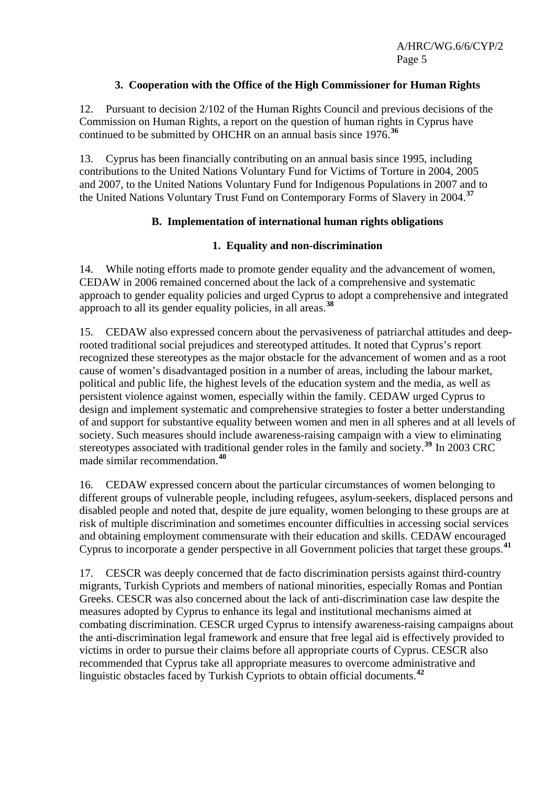## **3. Cooperation with the Office of the High Commissioner for Human Rights**

12. Pursuant to decision 2/102 of the Human Rights Council and previous decisions of the Commission on Human Rights, a report on the question of human rights in Cyprus have continued to be submitted by OHCHR on an annual basis since 1976.**[36](#page-15-0)**

13. Cyprus has been financially contributing on an annual basis since 1995, including contributions to the United Nations Voluntary Fund for Victims of Torture in 2004, 2005 and 2007, to the United Nations Voluntary Fund for Indigenous Populations in 2007 and to the United Nations Voluntary Trust Fund on Contemporary Forms of Slavery in 2004.**[37](#page-15-0)**

## **B. Implementation of international human rights obligations**

## **1. Equality and non-discrimination**

14. While noting efforts made to promote gender equality and the advancement of women, CEDAW in 2006 remained concerned about the lack of a comprehensive and systematic approach to gender equality policies and urged Cyprus to adopt a comprehensive and integrated approach to all its gender equality policies, in all areas.**[38](#page-15-0)**

15. CEDAW also expressed concern about the pervasiveness of patriarchal attitudes and deeprooted traditional social prejudices and stereotyped attitudes. It noted that Cyprus's report recognized these stereotypes as the major obstacle for the advancement of women and as a root cause of women's disadvantaged position in a number of areas, including the labour market, political and public life, the highest levels of the education system and the media, as well as persistent violence against women, especially within the family. CEDAW urged Cyprus to design and implement systematic and comprehensive strategies to foster a better understanding of and support for substantive equality between women and men in all spheres and at all levels of society. Such measures should include awareness-raising campaign with a view to eliminating stereotypes associated with traditional gender roles in the family and society.**[39](#page-15-0)** In 2003 CRC made similar recommendation.**[40](#page-15-0)**

16. CEDAW expressed concern about the particular circumstances of women belonging to different groups of vulnerable people, including refugees, asylum-seekers, displaced persons and disabled people and noted that, despite de jure equality, women belonging to these groups are at risk of multiple discrimination and sometimes encounter difficulties in accessing social services and obtaining employment commensurate with their education and skills. CEDAW encouraged Cyprus to incorporate a gender perspective in all Government policies that target these groups.**[41](#page-15-0)**

17. CESCR was deeply concerned that de facto discrimination persists against third-country migrants, Turkish Cypriots and members of national minorities, especially Romas and Pontian Greeks. CESCR was also concerned about the lack of anti-discrimination case law despite the measures adopted by Cyprus to enhance its legal and institutional mechanisms aimed at combating discrimination. CESCR urged Cyprus to intensify awareness-raising campaigns about the anti-discrimination legal framework and ensure that free legal aid is effectively provided to victims in order to pursue their claims before all appropriate courts of Cyprus. CESCR also recommended that Cyprus take all appropriate measures to overcome administrative and linguistic obstacles faced by Turkish Cypriots to obtain official documents.**[42](#page-15-0)**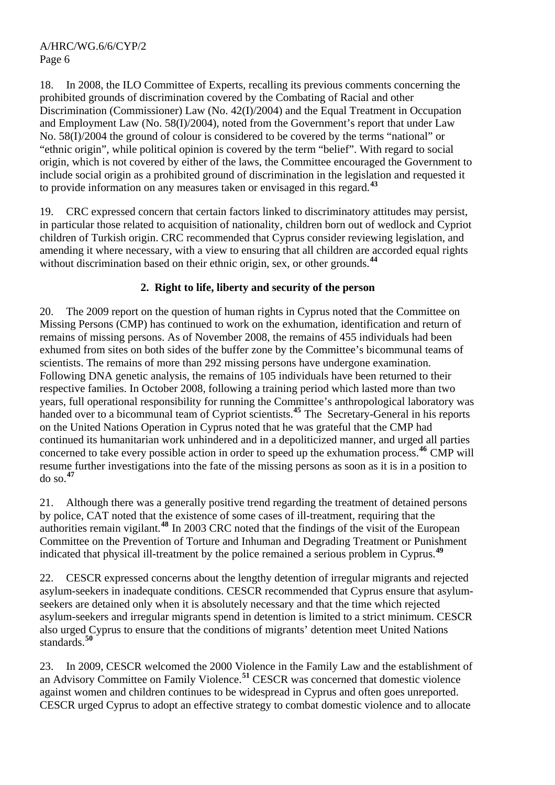18. In 2008, the ILO Committee of Experts, recalling its previous comments concerning the prohibited grounds of discrimination covered by the Combating of Racial and other Discrimination (Commissioner) Law (No. 42(I)/2004) and the Equal Treatment in Occupation and Employment Law (No. 58(I)/2004), noted from the Government's report that under Law No. 58(I)/2004 the ground of colour is considered to be covered by the terms "national" or "ethnic origin", while political opinion is covered by the term "belief". With regard to social origin, which is not covered by either of the laws, the Committee encouraged the Government to include social origin as a prohibited ground of discrimination in the legislation and requested it to provide information on any measures taken or envisaged in this regard.**[43](#page-15-0)**

19. CRC expressed concern that certain factors linked to discriminatory attitudes may persist, in particular those related to acquisition of nationality, children born out of wedlock and Cypriot children of Turkish origin. CRC recommended that Cyprus consider reviewing legislation, and amending it where necessary, with a view to ensuring that all children are accorded equal rights without discrimination based on their ethnic origin, sex, or other grounds.<sup>[44](#page-15-0)</sup>

# **2. Right to life, liberty and security of the person**

20. The 2009 report on the question of human rights in Cyprus noted that the Committee on Missing Persons (CMP) has continued to work on the exhumation, identification and return of remains of missing persons. As of November 2008, the remains of 455 individuals had been exhumed from sites on both sides of the buffer zone by the Committee's bicommunal teams of scientists. The remains of more than 292 missing persons have undergone examination. Following DNA genetic analysis, the remains of 105 individuals have been returned to their respective families. In October 2008, following a training period which lasted more than two years, full operational responsibility for running the Committee's anthropological laboratory was handed over to a bicommunal team of Cypriot scientists.<sup>[45](#page-15-0)</sup> The Secretary-General in his reports on the United Nations Operation in Cyprus noted that he was grateful that the CMP had continued its humanitarian work unhindered and in a depoliticized manner, and urged all parties concerned to take every possible action in order to speed up the exhumation process.**[46](#page-15-0)** CMP will resume further investigations into the fate of the missing persons as soon as it is in a position to do so.**[47](#page-15-0)**

21. Although there was a generally positive trend regarding the treatment of detained persons by police, CAT noted that the existence of some cases of ill-treatment, requiring that the authorities remain vigilant.**[48](#page-15-0)** In 2003 CRC noted that the findings of the visit of the European Committee on the Prevention of Torture and Inhuman and Degrading Treatment or Punishment indicated that physical ill-treatment by the police remained a serious problem in Cyprus.**[49](#page-15-0)**

22. CESCR expressed concerns about the lengthy detention of irregular migrants and rejected asylum-seekers in inadequate conditions. CESCR recommended that Cyprus ensure that asylumseekers are detained only when it is absolutely necessary and that the time which rejected asylum-seekers and irregular migrants spend in detention is limited to a strict minimum. CESCR also urged Cyprus to ensure that the conditions of migrants' detention meet United Nations standards.**[50](#page-15-0)**

23. In 2009, CESCR welcomed the 2000 Violence in the Family Law and the establishment of an Advisory Committee on Family Violence.**[51](#page-15-0)** CESCR was concerned that domestic violence against women and children continues to be widespread in Cyprus and often goes unreported. CESCR urged Cyprus to adopt an effective strategy to combat domestic violence and to allocate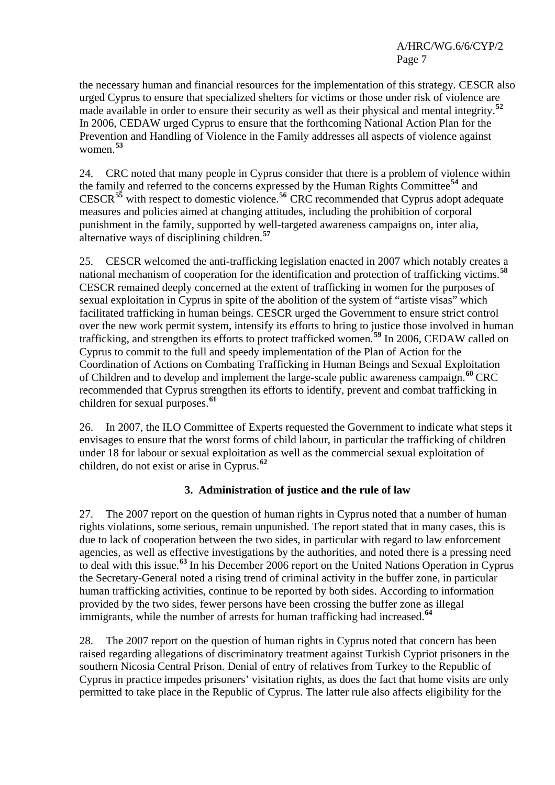the necessary human and financial resources for the implementation of this strategy. CESCR also urged Cyprus to ensure that specialized shelters for victims or those under risk of violence are made available in order to ensure their security as well as their physical and mental integrity.**[52](#page-15-0)** In 2006, CEDAW urged Cyprus to ensure that the forthcoming National Action Plan for the Prevention and Handling of Violence in the Family addresses all aspects of violence against women.**[53](#page-15-0)**

24. CRC noted that many people in Cyprus consider that there is a problem of violence within the family and referred to the concerns expressed by the Human Rights Committee**[54](#page-15-0)** and CESCR**[55](#page-15-0)** with respect to domestic violence.**[56](#page-15-0)** CRC recommended that Cyprus adopt adequate measures and policies aimed at changing attitudes, including the prohibition of corporal punishment in the family, supported by well-targeted awareness campaigns on, inter alia, alternative ways of disciplining children.**[57](#page-15-0)**

25. CESCR welcomed the anti-trafficking legislation enacted in 2007 which notably creates a national mechanism of cooperation for the identification and protection of trafficking victims.**[58](#page-15-0)** CESCR remained deeply concerned at the extent of trafficking in women for the purposes of sexual exploitation in Cyprus in spite of the abolition of the system of "artiste visas" which facilitated trafficking in human beings. CESCR urged the Government to ensure strict control over the new work permit system, intensify its efforts to bring to justice those involved in human trafficking, and strengthen its efforts to protect trafficked women.**[59](#page-15-0)** In 2006, CEDAW called on Cyprus to commit to the full and speedy implementation of the Plan of Action for the Coordination of Actions on Combating Trafficking in Human Beings and Sexual Exploitation of Children and to develop and implement the large-scale public awareness campaign.**[60](#page-15-0)** CRC recommended that Cyprus strengthen its efforts to identify, prevent and combat trafficking in children for sexual purposes.**[61](#page-15-0)**

26. In 2007, the ILO Committee of Experts requested the Government to indicate what steps it envisages to ensure that the worst forms of child labour, in particular the trafficking of children under 18 for labour or sexual exploitation as well as the commercial sexual exploitation of children, do not exist or arise in Cyprus.**[62](#page-15-0)**

## **3. Administration of justice and the rule of law**

27. The 2007 report on the question of human rights in Cyprus noted that a number of human rights violations, some serious, remain unpunished. The report stated that in many cases, this is due to lack of cooperation between the two sides, in particular with regard to law enforcement agencies, as well as effective investigations by the authorities, and noted there is a pressing need to deal with this issue.**[63](#page-15-0)** In his December 2006 report on the United Nations Operation in Cyprus the Secretary-General noted a rising trend of criminal activity in the buffer zone, in particular human trafficking activities, continue to be reported by both sides. According to information provided by the two sides, fewer persons have been crossing the buffer zone as illegal immigrants, while the number of arrests for human trafficking had increased.**[64](#page-15-0)**

28. The 2007 report on the question of human rights in Cyprus noted that concern has been raised regarding allegations of discriminatory treatment against Turkish Cypriot prisoners in the southern Nicosia Central Prison. Denial of entry of relatives from Turkey to the Republic of Cyprus in practice impedes prisoners' visitation rights, as does the fact that home visits are only permitted to take place in the Republic of Cyprus. The latter rule also affects eligibility for the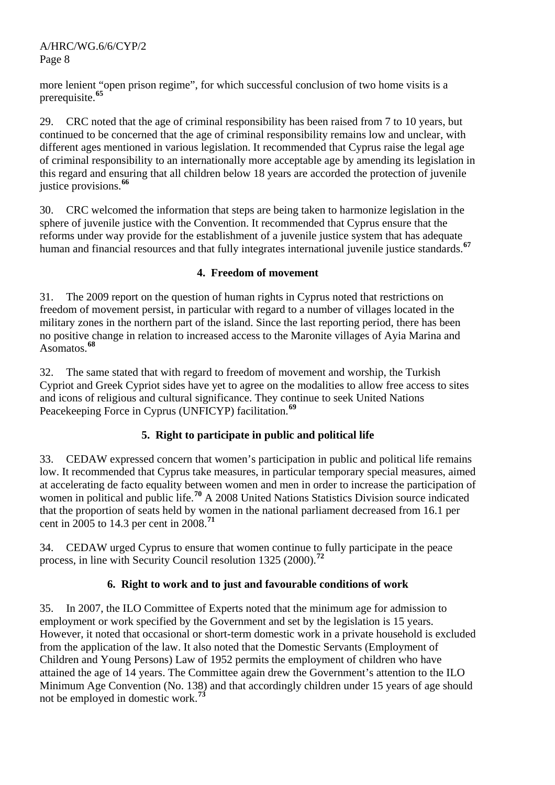more lenient "open prison regime", for which successful conclusion of two home visits is a prerequisite.**[65](#page-15-0)**

29. CRC noted that the age of criminal responsibility has been raised from 7 to 10 years, but continued to be concerned that the age of criminal responsibility remains low and unclear, with different ages mentioned in various legislation. It recommended that Cyprus raise the legal age of criminal responsibility to an internationally more acceptable age by amending its legislation in this regard and ensuring that all children below 18 years are accorded the protection of juvenile justice provisions.**[66](#page-15-0)**

30. CRC welcomed the information that steps are being taken to harmonize legislation in the sphere of juvenile justice with the Convention. It recommended that Cyprus ensure that the reforms under way provide for the establishment of a juvenile justice system that has adequate human and financial resources and that fully integrates international juvenile justice standards.**[67](#page-15-0)**

# **4. Freedom of movement**

31. The 2009 report on the question of human rights in Cyprus noted that restrictions on freedom of movement persist, in particular with regard to a number of villages located in the military zones in the northern part of the island. Since the last reporting period, there has been no positive change in relation to increased access to the Maronite villages of Ayia Marina and Asomatos.**[68](#page-15-0)**

32. The same stated that with regard to freedom of movement and worship, the Turkish Cypriot and Greek Cypriot sides have yet to agree on the modalities to allow free access to sites and icons of religious and cultural significance. They continue to seek United Nations Peacekeeping Force in Cyprus (UNFICYP) facilitation.**[69](#page-15-0)**

# **5. Right to participate in public and political life**

33. CEDAW expressed concern that women's participation in public and political life remains low. It recommended that Cyprus take measures, in particular temporary special measures, aimed at accelerating de facto equality between women and men in order to increase the participation of women in political and public life.<sup>[70](#page-15-0)</sup> A 2008 United Nations Statistics Division source indicated that the proportion of seats held by women in the national parliament decreased from 16.1 per cent in 2005 to 14.3 per cent in 2008.**[71](#page-15-0)**

34. CEDAW urged Cyprus to ensure that women continue to fully participate in the peace process, in line with Security Council resolution 1325 (2000).**[72](#page-15-0)**

# **6. Right to work and to just and favourable conditions of work**

35. In 2007, the ILO Committee of Experts noted that the minimum age for admission to employment or work specified by the Government and set by the legislation is 15 years. However, it noted that occasional or short-term domestic work in a private household is excluded from the application of the law. It also noted that the Domestic Servants (Employment of Children and Young Persons) Law of 1952 permits the employment of children who have attained the age of 14 years. The Committee again drew the Government's attention to the ILO Minimum Age Convention (No. 138) and that accordingly children under 15 years of age should not be employed in domestic work.**[73](#page-15-0)**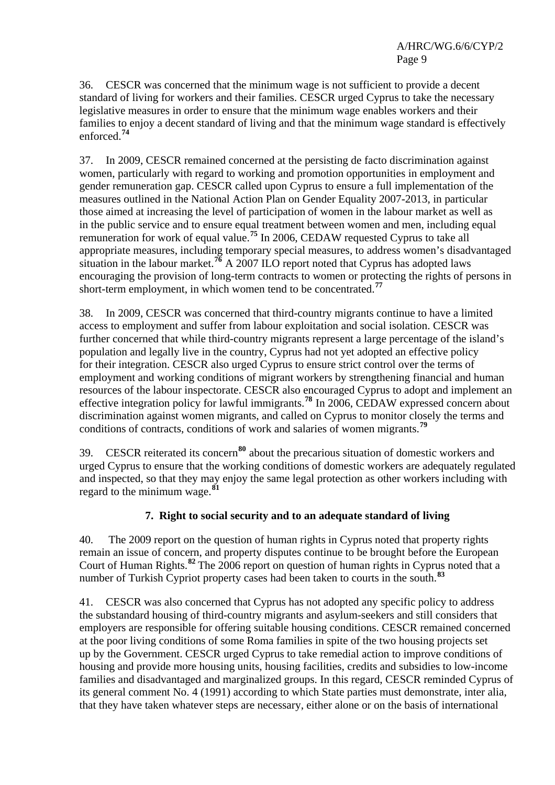36. CESCR was concerned that the minimum wage is not sufficient to provide a decent standard of living for workers and their families. CESCR urged Cyprus to take the necessary legislative measures in order to ensure that the minimum wage enables workers and their families to enjoy a decent standard of living and that the minimum wage standard is effectively enforced.**[74](#page-15-0)**

37. In 2009, CESCR remained concerned at the persisting de facto discrimination against women, particularly with regard to working and promotion opportunities in employment and gender remuneration gap. CESCR called upon Cyprus to ensure a full implementation of the measures outlined in the National Action Plan on Gender Equality 2007-2013, in particular those aimed at increasing the level of participation of women in the labour market as well as in the public service and to ensure equal treatment between women and men, including equal remuneration for work of equal value.**[75](#page-15-0)** In 2006, CEDAW requested Cyprus to take all appropriate measures, including temporary special measures, to address women's disadvantaged situation in the labour market.<sup>[76](#page-15-0)</sup> A 2007 ILO report noted that Cyprus has adopted laws encouraging the provision of long-term contracts to women or protecting the rights of persons in short-term employment, in which women tend to be concentrated.**[77](#page-15-0)**

38. In 2009, CESCR was concerned that third-country migrants continue to have a limited access to employment and suffer from labour exploitation and social isolation. CESCR was further concerned that while third-country migrants represent a large percentage of the island's population and legally live in the country, Cyprus had not yet adopted an effective policy for their integration. CESCR also urged Cyprus to ensure strict control over the terms of employment and working conditions of migrant workers by strengthening financial and human resources of the labour inspectorate. CESCR also encouraged Cyprus to adopt and implement an effective integration policy for lawful immigrants.**[78](#page-15-0)** In 2006, CEDAW expressed concern about discrimination against women migrants, and called on Cyprus to monitor closely the terms and conditions of contracts, conditions of work and salaries of women migrants.**[79](#page-15-0)**

39. CESCR reiterated its concern**[80](#page-15-0)** about the precarious situation of domestic workers and urged Cyprus to ensure that the working conditions of domestic workers are adequately regulated and inspected, so that they may enjoy the same legal protection as other workers including with regard to the minimum wage.**[81](#page-15-0)**

## **7. Right to social security and to an adequate standard of living**

40. The 2009 report on the question of human rights in Cyprus noted that property rights remain an issue of concern, and property disputes continue to be brought before the European Court of Human Rights.**[82](#page-15-0)** The 2006 report on question of human rights in Cyprus noted that a number of Turkish Cypriot property cases had been taken to courts in the south.<sup>[83](#page-15-0)</sup>

41. CESCR was also concerned that Cyprus has not adopted any specific policy to address the substandard housing of third-country migrants and asylum-seekers and still considers that employers are responsible for offering suitable housing conditions. CESCR remained concerned at the poor living conditions of some Roma families in spite of the two housing projects set up by the Government. CESCR urged Cyprus to take remedial action to improve conditions of housing and provide more housing units, housing facilities, credits and subsidies to low-income families and disadvantaged and marginalized groups. In this regard, CESCR reminded Cyprus of its general comment No. 4 (1991) according to which State parties must demonstrate, inter alia, that they have taken whatever steps are necessary, either alone or on the basis of international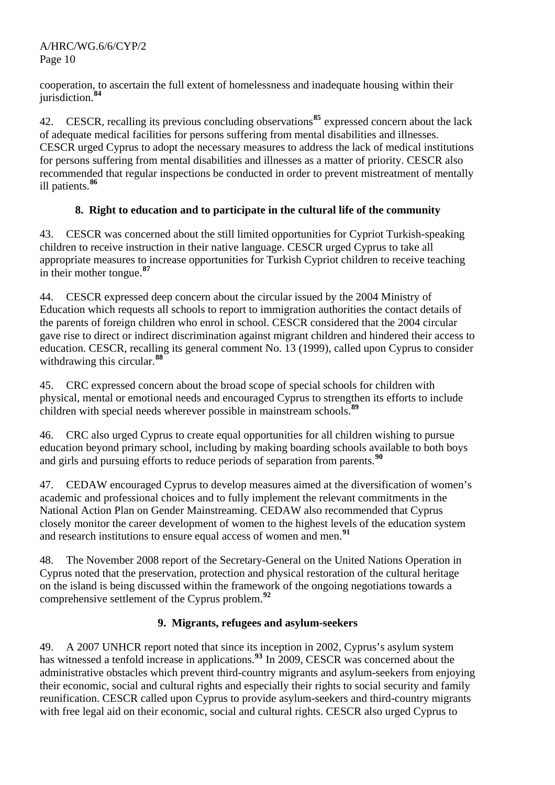cooperation, to ascertain the full extent of homelessness and inadequate housing within their jurisdiction.**[84](#page-15-0)**

42. CESCR, recalling its previous concluding observations**[85](#page-15-0)** expressed concern about the lack of adequate medical facilities for persons suffering from mental disabilities and illnesses. CESCR urged Cyprus to adopt the necessary measures to address the lack of medical institutions for persons suffering from mental disabilities and illnesses as a matter of priority. CESCR also recommended that regular inspections be conducted in order to prevent mistreatment of mentally ill patients.**[86](#page-15-0)**

# **8. Right to education and to participate in the cultural life of the community**

43. CESCR was concerned about the still limited opportunities for Cypriot Turkish-speaking children to receive instruction in their native language. CESCR urged Cyprus to take all appropriate measures to increase opportunities for Turkish Cypriot children to receive teaching in their mother tongue. **[87](#page-15-0)**

44. CESCR expressed deep concern about the circular issued by the 2004 Ministry of Education which requests all schools to report to immigration authorities the contact details of the parents of foreign children who enrol in school. CESCR considered that the 2004 circular gave rise to direct or indirect discrimination against migrant children and hindered their access to education. CESCR, recalling its general comment No. 13 (1999), called upon Cyprus to consider withdrawing this circular.**[88](#page-15-0)**

45. CRC expressed concern about the broad scope of special schools for children with physical, mental or emotional needs and encouraged Cyprus to strengthen its efforts to include children with special needs wherever possible in mainstream schools.**[89](#page-15-0)**

46. CRC also urged Cyprus to create equal opportunities for all children wishing to pursue education beyond primary school, including by making boarding schools available to both boys and girls and pursuing efforts to reduce periods of separation from parents.**[90](#page-15-0)**

47. CEDAW encouraged Cyprus to develop measures aimed at the diversification of women's academic and professional choices and to fully implement the relevant commitments in the National Action Plan on Gender Mainstreaming. CEDAW also recommended that Cyprus closely monitor the career development of women to the highest levels of the education system and research institutions to ensure equal access of women and men.**[91](#page-15-0)**

48. The November 2008 report of the Secretary-General on the United Nations Operation in Cyprus noted that the preservation, protection and physical restoration of the cultural heritage on the island is being discussed within the framework of the ongoing negotiations towards a comprehensive settlement of the Cyprus problem.**[92](#page-15-0)**

# **9. Migrants, refugees and asylum-seekers**

49. A 2007 UNHCR report noted that since its inception in 2002, Cyprus's asylum system has witnessed a tenfold increase in applications.<sup>[93](#page-15-0)</sup> In 2009, CESCR was concerned about the administrative obstacles which prevent third-country migrants and asylum-seekers from enjoying their economic, social and cultural rights and especially their rights to social security and family reunification. CESCR called upon Cyprus to provide asylum-seekers and third-country migrants with free legal aid on their economic, social and cultural rights. CESCR also urged Cyprus to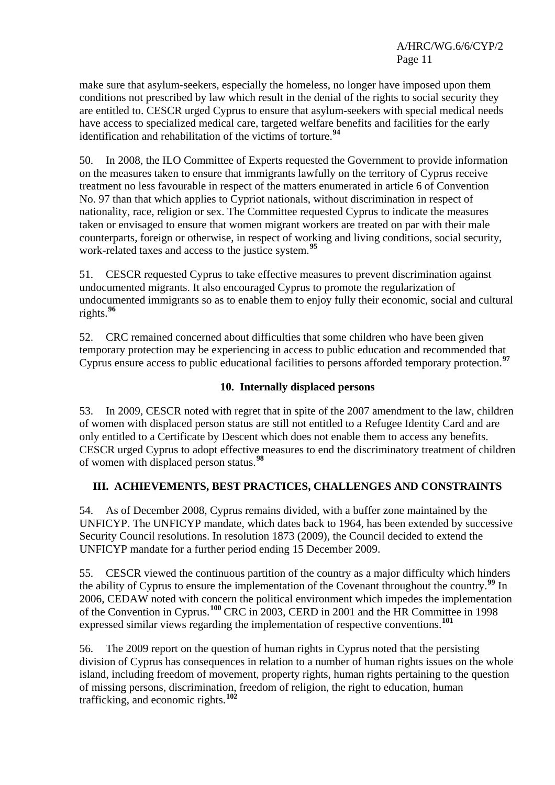make sure that asylum-seekers, especially the homeless, no longer have imposed upon them conditions not prescribed by law which result in the denial of the rights to social security they are entitled to. CESCR urged Cyprus to ensure that asylum-seekers with special medical needs have access to specialized medical care, targeted welfare benefits and facilities for the early identification and rehabilitation of the victims of torture.**[94](#page-15-0)**

50. In 2008, the ILO Committee of Experts requested the Government to provide information on the measures taken to ensure that immigrants lawfully on the territory of Cyprus receive treatment no less favourable in respect of the matters enumerated in article 6 of Convention No. 97 than that which applies to Cypriot nationals, without discrimination in respect of nationality, race, religion or sex. The Committee requested Cyprus to indicate the measures taken or envisaged to ensure that women migrant workers are treated on par with their male counterparts, foreign or otherwise, in respect of working and living conditions, social security, work-related taxes and access to the justice system.**[95](#page-15-0)**

51. CESCR requested Cyprus to take effective measures to prevent discrimination against undocumented migrants. It also encouraged Cyprus to promote the regularization of undocumented immigrants so as to enable them to enjoy fully their economic, social and cultural rights.**[96](#page-15-0)**

52. CRC remained concerned about difficulties that some children who have been given temporary protection may be experiencing in access to public education and recommended that Cyprus ensure access to public educational facilities to persons afforded temporary protection.**[97](#page-15-0)**

## **10. Internally displaced persons**

53. In 2009, CESCR noted with regret that in spite of the 2007 amendment to the law, children of women with displaced person status are still not entitled to a Refugee Identity Card and are only entitled to a Certificate by Descent which does not enable them to access any benefits. CESCR urged Cyprus to adopt effective measures to end the discriminatory treatment of children of women with displaced person status.**[98](#page-15-0)**

# **III. ACHIEVEMENTS, BEST PRACTICES, CHALLENGES AND CONSTRAINTS**

54. As of December 2008, Cyprus remains divided, with a buffer zone maintained by the UNFICYP. The UNFICYP mandate, which dates back to 1964, has been extended by successive Security Council resolutions. In resolution 1873 (2009), the Council decided to extend the UNFICYP mandate for a further period ending 15 December 2009.

55. CESCR viewed the continuous partition of the country as a major difficulty which hinders the ability of Cyprus to ensure the implementation of the Covenant throughout the country.**[99](#page-15-0)** In 2006, CEDAW noted with concern the political environment which impedes the implementation of the Convention in Cyprus.**[100](#page-15-0)** CRC in 2003, CERD in 2001 and the HR Committee in 1998 expressed similar views regarding the implementation of respective conventions.**[101](#page-15-0)**

56. The 2009 report on the question of human rights in Cyprus noted that the persisting division of Cyprus has consequences in relation to a number of human rights issues on the whole island, including freedom of movement, property rights, human rights pertaining to the question of missing persons, discrimination, freedom of religion, the right to education, human trafficking, and economic rights.**[102](#page-15-0)**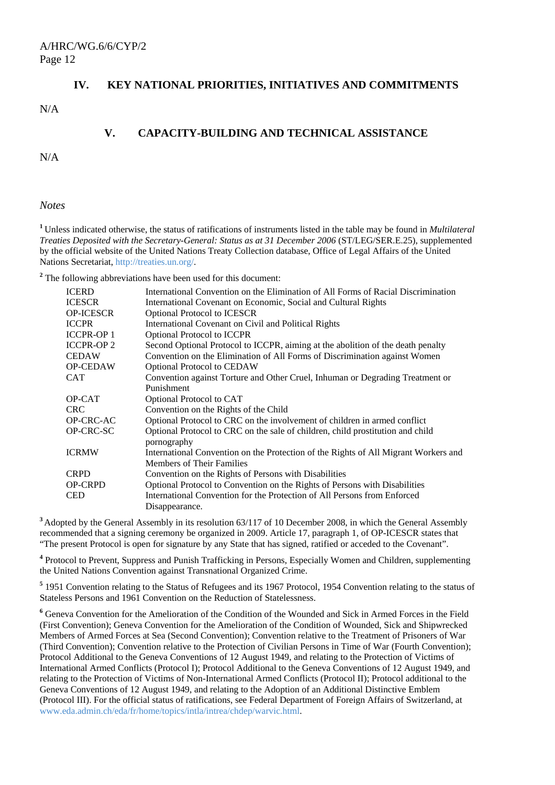#### **IV. KEY NATIONAL PRIORITIES, INITIATIVES AND COMMITMENTS**

N/A

#### **V. CAPACITY-BUILDING AND TECHNICAL ASSISTANCE**

N/A

*Notes* 

**<sup>1</sup>** Unless indicated otherwise, the status of ratifications of instruments listed in the table may be found in *Multilateral Treaties Deposited with the Secretary-General: Status as at 31 December 2006* (ST/LEG/SER.E.25), supplemented by the official website of the United Nations Treaty Collection database, Office of Legal Affairs of the United Nations Secretariat, [http://treaties.un.org/.](http://treaties.un.org/)

<sup>2</sup> The following abbreviations have been used for this document:

| <b>ICERD</b>     | International Convention on the Elimination of All Forms of Racial Discrimination   |
|------------------|-------------------------------------------------------------------------------------|
| <b>ICESCR</b>    | International Covenant on Economic, Social and Cultural Rights                      |
| <b>OP-ICESCR</b> | <b>Optional Protocol to ICESCR</b>                                                  |
| <b>ICCPR</b>     | International Covenant on Civil and Political Rights                                |
| <b>ICCPR-OP1</b> | <b>Optional Protocol to ICCPR</b>                                                   |
| <b>ICCPR-OP2</b> | Second Optional Protocol to ICCPR, aiming at the abolition of the death penalty     |
| <b>CEDAW</b>     | Convention on the Elimination of All Forms of Discrimination against Women          |
| <b>OP-CEDAW</b>  | <b>Optional Protocol to CEDAW</b>                                                   |
| <b>CAT</b>       | Convention against Torture and Other Cruel, Inhuman or Degrading Treatment or       |
|                  | Punishment                                                                          |
| OP-CAT           | Optional Protocol to CAT                                                            |
| <b>CRC</b>       | Convention on the Rights of the Child                                               |
| OP-CRC-AC        | Optional Protocol to CRC on the involvement of children in armed conflict           |
| OP-CRC-SC        | Optional Protocol to CRC on the sale of children, child prostitution and child      |
|                  | pornography                                                                         |
| <b>ICRMW</b>     | International Convention on the Protection of the Rights of All Migrant Workers and |
|                  | <b>Members of Their Families</b>                                                    |
| <b>CRPD</b>      | Convention on the Rights of Persons with Disabilities                               |
| <b>OP-CRPD</b>   | Optional Protocol to Convention on the Rights of Persons with Disabilities          |
| <b>CED</b>       | International Convention for the Protection of All Persons from Enforced            |
|                  | Disappearance.                                                                      |

**<sup>3</sup>**Adopted by the General Assembly in its resolution 63/117 of 10 December 2008, in which the General Assembly recommended that a signing ceremony be organized in 2009. Article 17, paragraph 1, of OP-ICESCR states that "The present Protocol is open for signature by any State that has signed, ratified or acceded to the Covenant".

**4** Protocol to Prevent, Suppress and Punish Trafficking in Persons, Especially Women and Children, supplementing the United Nations Convention against Transnational Organized Crime.

<sup>5</sup> 1951 Convention relating to the Status of Refugees and its 1967 Protocol, 1954 Convention relating to the status of Stateless Persons and 1961 Convention on the Reduction of Statelessness.

**6** Geneva Convention for the Amelioration of the Condition of the Wounded and Sick in Armed Forces in the Field (First Convention); Geneva Convention for the Amelioration of the Condition of Wounded, Sick and Shipwrecked Members of Armed Forces at Sea (Second Convention); Convention relative to the Treatment of Prisoners of War (Third Convention); Convention relative to the Protection of Civilian Persons in Time of War (Fourth Convention); Protocol Additional to the Geneva Conventions of 12 August 1949, and relating to the Protection of Victims of International Armed Conflicts (Protocol I); Protocol Additional to the Geneva Conventions of 12 August 1949, and relating to the Protection of Victims of Non-International Armed Conflicts (Protocol II); Protocol additional to the Geneva Conventions of 12 August 1949, and relating to the Adoption of an Additional Distinctive Emblem (Protocol III). For the official status of ratifications, see Federal Department of Foreign Affairs of Switzerland, at [www.eda.admin.ch/eda/fr/home/topics/intla/intrea/chdep/warvic.html](http://www.eda.admin.ch/eda/fr/home/topics/intla/intrea/chdep/warvic.html).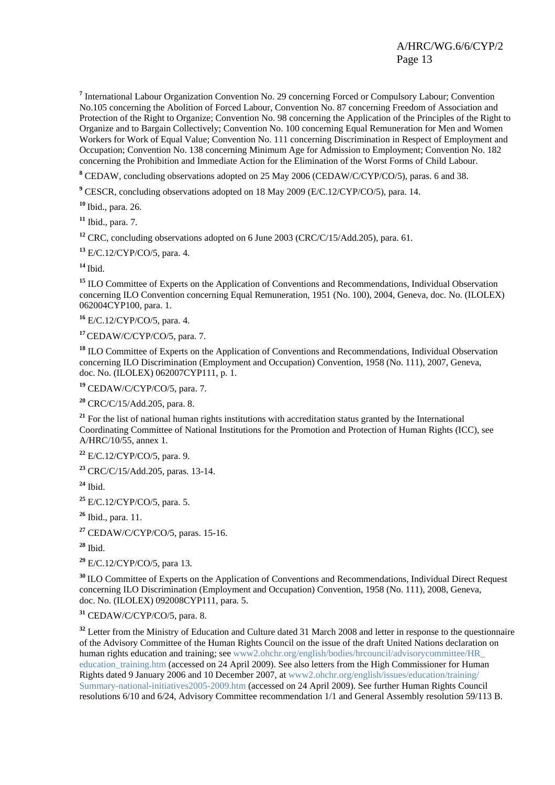<sup>7</sup> International Labour Organization Convention No. 29 concerning Forced or Compulsory Labour; Convention No.105 concerning the Abolition of Forced Labour, Convention No. 87 concerning Freedom of Association and Protection of the Right to Organize; Convention No. 98 concerning the Application of the Principles of the Right to Organize and to Bargain Collectively; Convention No. 100 concerning Equal Remuneration for Men and Women Workers for Work of Equal Value; Convention No. 111 concerning Discrimination in Respect of Employment and Occupation; Convention No. 138 concerning Minimum Age for Admission to Employment; Convention No. 182 concerning the Prohibition and Immediate Action for the Elimination of the Worst Forms of Child Labour.

**8** CEDAW, concluding observations adopted on 25 May 2006 (CEDAW/C/CYP/CO/5), paras. 6 and 38.

<sup>9</sup> CESCR, concluding observations adopted on 18 May 2009 (E/C.12/CYP/CO/5), para. 14.

**<sup>10</sup>** Ibid., para. 26.

**<sup>11</sup>** Ibid., para. 7.

**<sup>12</sup>** CRC, concluding observations adopted on 6 June 2003 (CRC/C/15/Add.205), para. 61.

**<sup>13</sup>** E/C.12/CYP/CO/5, para. 4.

**<sup>14</sup>** Ibid.

<sup>15</sup> ILO Committee of Experts on the Application of Conventions and Recommendations, Individual Observation concerning ILO Convention concerning Equal Remuneration, 1951 (No. 100), 2004, Geneva, doc. No. (ILOLEX) 062004CYP100, para. 1.

**<sup>16</sup>** E/C.12/CYP/CO/5, para. 4.

**<sup>17</sup>**CEDAW/C/CYP/CO/5, para. 7.

**<sup>18</sup>** ILO Committee of Experts on the Application of Conventions and Recommendations, Individual Observation concerning ILO Discrimination (Employment and Occupation) Convention, 1958 (No. 111), 2007, Geneva, doc. No. (ILOLEX) 062007CYP111, p. 1.

**<sup>19</sup>** CEDAW/C/CYP/CO/5, para. 7.

**<sup>20</sup>** CRC/C/15/Add.205, para. 8.

<sup>21</sup> For the list of national human rights institutions with accreditation status granted by the International Coordinating Committee of National Institutions for the Promotion and Protection of Human Rights (ICC), see A/HRC/10/55, annex 1.

**<sup>22</sup>** E/C.12/CYP/CO/5, para. 9.

**<sup>23</sup>** CRC/C/15/Add.205, paras. 13-14.

**<sup>24</sup>** Ibid.

**<sup>25</sup>** E/C.12/CYP/CO/5, para. 5.

**<sup>26</sup>** Ibid., para. 11.

**<sup>27</sup>** CEDAW/C/CYP/CO/5, paras. 15-16.

**<sup>28</sup>** Ibid.

**<sup>29</sup>** E/C.12/CYP/CO/5, para 13.

**<sup>30</sup>** ILO Committee of Experts on the Application of Conventions and Recommendations, Individual Direct Request concerning ILO Discrimination (Employment and Occupation) Convention, 1958 (No. 111), 2008, Geneva, doc. No. (ILOLEX) 092008CYP111, para. 5.

**<sup>31</sup>** CEDAW/C/CYP/CO/5, para. 8.

<sup>32</sup> Letter from the Ministry of Education and Culture dated 31 March 2008 and letter in response to the questionnaire of the Advisory Committee of the Human Rights Council on the issue of the draft United Nations declaration on human rights education and training; see [www2.ohchr.org/english/bodies/hrcouncil/advisorycommittee/HR\\_](http://www2.ohchr.org/english/bodies/hrcouncil/advisorycommittee/HR_%20education_training.htm)  education training.htm (accessed on 24 April 2009). See also letters from the High Commissioner for Human Rights dated 9 January 2006 and 10 December 2007, at [www2.ohchr.org/english/issues/education/training/](http://www2.ohchr.org/english/issues/education/training/) Summary-national-initiatives2005-2009.htm (accessed on 24 April 2009). See further Human Rights Council resolutions 6/10 and 6/24, Advisory Committee recommendation 1/1 and General Assembly resolution 59/113 B.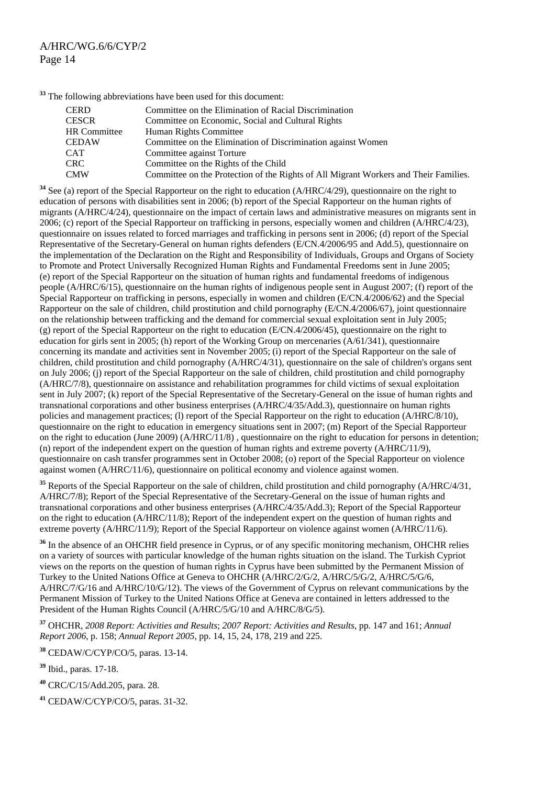<span id="page-13-1"></span>**<sup>33</sup>** The following abbreviations have been used for this document:

| CERD                | Committee on the Elimination of Racial Discrimination                                |
|---------------------|--------------------------------------------------------------------------------------|
| CESCR               | Committee on Economic, Social and Cultural Rights                                    |
| <b>HR Committee</b> | Human Rights Committee                                                               |
| CEDAW               | Committee on the Elimination of Discrimination against Women                         |
| CAT                 | Committee against Torture                                                            |
| CRC-                | Committee on the Rights of the Child                                                 |
| <b>CMW</b>          | Committee on the Protection of the Rights of All Migrant Workers and Their Families. |

<span id="page-13-0"></span><sup>34</sup> See (a) report of the Special Rapporteur on the right to education (A/HRC/4/29), questionnaire on the right to education of persons with disabilities sent in 2006; (b) report of the Special Rapporteur on the human rights of migrants (A/HRC/4/24), questionnaire on the impact of certain laws and administrative measures on migrants sent in 2006; (c) report of the Special Rapporteur on trafficking in persons, especially women and children (A/HRC/4/23), questionnaire on issues related to forced marriages and trafficking in persons sent in 2006; (d) report of the Special Representative of the Secretary-General on human rights defenders (E/CN.4/2006/95 and Add.5), questionnaire on the implementation of the Declaration on the Right and Responsibility of Individuals, Groups and Organs of Society to Promote and Protect Universally Recognized Human Rights and Fundamental Freedoms sent in June 2005; (e) report of the Special Rapporteur on the situation of human rights and fundamental freedoms of indigenous people (A/HRC/6/15), questionnaire on the human rights of indigenous people sent in August 2007; (f) report of the Special Rapporteur on trafficking in persons, especially in women and children (E/CN.4/2006/62) and the Special Rapporteur on the sale of children, child prostitution and child pornography (E/CN.4/2006/67), joint questionnaire on the relationship between trafficking and the demand for commercial sexual exploitation sent in July 2005; (g) report of the Special Rapporteur on the right to education  $(E/CN.4/2006/45)$ , questionnaire on the right to education for girls sent in 2005; (h) report of the Working Group on mercenaries (A/61/341), questionnaire concerning its mandate and activities sent in November 2005; (i) report of the Special Rapporteur on the sale of children, child prostitution and child pornography (A/HRC/4/31), questionnaire on the sale of children's organs sent on July 2006; (j) report of the Special Rapporteur on the sale of children, child prostitution and child pornography (A/HRC/7/8), questionnaire on assistance and rehabilitation programmes for child victims of sexual exploitation sent in July 2007; (k) report of the Special Representative of the Secretary-General on the issue of human rights and transnational corporations and other business enterprises (A/HRC/4/35/Add.3), questionnaire on human rights policies and management practices; (l) report of the Special Rapporteur on the right to education (A/HRC/8/10), questionnaire on the right to education in emergency situations sent in 2007; (m) Report of the Special Rapporteur on the right to education (June 2009) (A/HRC/11/8) , questionnaire on the right to education for persons in detention; (n) report of the independent expert on the question of human rights and extreme poverty (A/HRC/11/9), questionnaire on cash transfer programmes sent in October 2008; (o) report of the Special Rapporteur on violence against women (A/HRC/11/6), questionnaire on political economy and violence against women.

<sup>35</sup> Reports of the Special Rapporteur on the sale of children, child prostitution and child pornography (A/HRC/4/31, A/HRC/7/8); Report of the Special Representative of the Secretary-General on the issue of human rights and transnational corporations and other business enterprises (A/HRC/4/35/Add.3); Report of the Special Rapporteur on the right to education (A/HRC/11/8); Report of the independent expert on the question of human rights and extreme poverty (A/HRC/11/9); Report of the Special Rapporteur on violence against women (A/HRC/11/6).

<sup>36</sup> In the absence of an OHCHR field presence in Cyprus, or of any specific monitoring mechanism, OHCHR relies on a variety of sources with particular knowledge of the human rights situation on the island. The Turkish Cypriot views on the reports on the question of human rights in Cyprus have been submitted by the Permanent Mission of Turkey to the United Nations Office at Geneva to OHCHR (A/HRC/2/G/2, A/HRC/5/G/2, A/HRC/5/G/6, A/HRC/7/G/16 and A/HRC/10/G/12). The views of the Government of Cyprus on relevant communications by the Permanent Mission of Turkey to the United Nations Office at Geneva are contained in letters addressed to the President of the Human Rights Council (A/HRC/5/G/10 and A/HRC/8/G/5).

**<sup>37</sup>** OHCHR, *2008 Report: Activities and Results*; *2007 Report: Activities and Results*, pp. 147 and 161; *Annual Report 2006*, p. 158; *Annual Report 2005*, pp. 14, 15, 24, 178, 219 and 225.

**<sup>38</sup>** CEDAW/C/CYP/CO/5, paras. 13-14.

**<sup>39</sup>** Ibid., paras. 17-18.

**<sup>40</sup>** CRC/C/15/Add.205, para. 28.

**<sup>41</sup>** CEDAW/C/CYP/CO/5, paras. 31-32.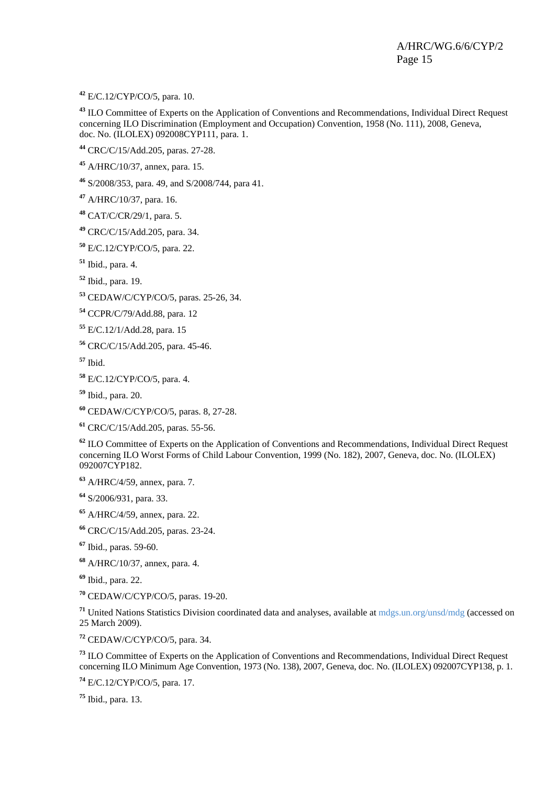<span id="page-14-0"></span>E/C.12/CYP/CO/5, para. 10.

 ILO Committee of Experts on the Application of Conventions and Recommendations, Individual Direct Request concerning ILO Discrimination (Employment and Occupation) Convention, 1958 (No. 111), 2008, Geneva, doc. No. (ILOLEX) 092008CYP111, para. 1.

CRC/C/15/Add.205, paras. 27-28.

A/HRC/10/37, annex, para. 15.

S/2008/353, para. 49, and S/2008/744, para 41.

A/HRC/10/37, para. 16.

CAT/C/CR/29/1, para. 5.

CRC/C/15/Add.205, para. 34.

E/C.12/CYP/CO/5, para. 22.

Ibid., para. 4.

Ibid., para. 19.

CEDAW/C/CYP/CO/5, paras. 25-26, 34.

CCPR/C/79/Add.88, para. 12

E/C.12/1/Add.28, para. 15

CRC/C/15/Add.205, para. 45-46.

Ibid.

E/C.12/CYP/CO/5, para. 4.

Ibid., para. 20.

CEDAW/C/CYP/CO/5, paras. 8, 27-28.

CRC/C/15/Add.205, paras. 55-56.

 ILO Committee of Experts on the Application of Conventions and Recommendations, Individual Direct Request concerning ILO Worst Forms of Child Labour Convention, 1999 (No. 182), 2007, Geneva, doc. No. (ILOLEX) 092007CYP182.

A/HRC/4/59, annex, para. 7.

S/2006/931, para. 33.

A/HRC/4/59, annex, para. 22.

CRC/C/15/Add.205, paras. 23-24.

Ibid., paras. 59-60.

A/HRC/10/37, annex, para. 4.

Ibid., para. 22.

CEDAW/C/CYP/CO/5, paras. 19-20.

 United Nations Statistics Division coordinated data and analyses, available at [mdgs.un.org/unsd/mdg](http://mdgs.un.org/unsd/mdg) (accessed on 25 March 2009).

CEDAW/C/CYP/CO/5, para. 34.

 ILO Committee of Experts on the Application of Conventions and Recommendations, Individual Direct Request concerning ILO Minimum Age Convention, 1973 (No. 138), 2007, Geneva, doc. No. (ILOLEX) 092007CYP138, p. 1.

E/C.12/CYP/CO/5, para. 17.

Ibid., para. 13.